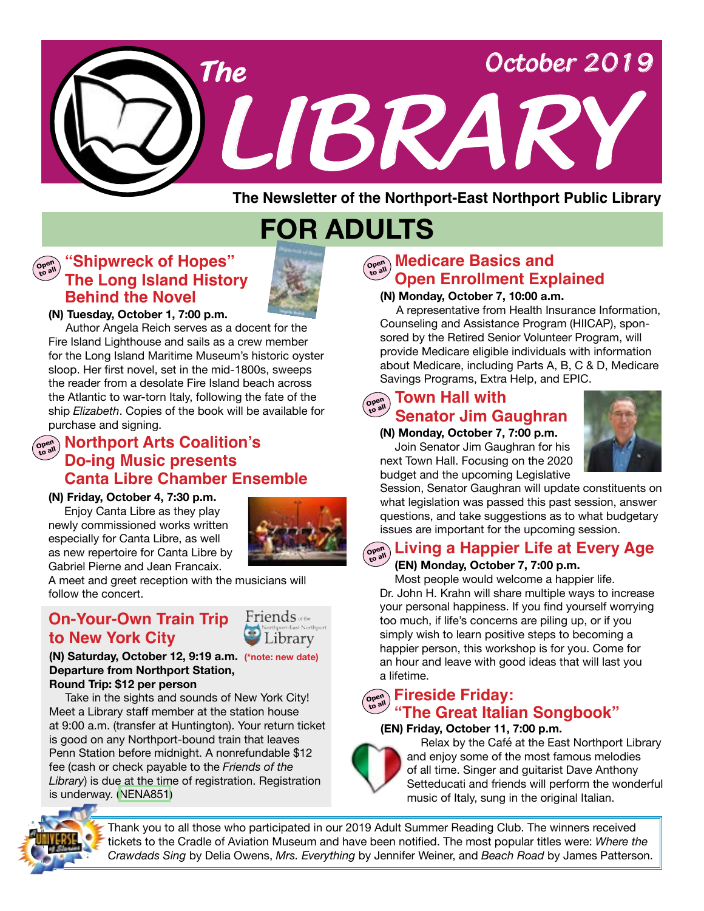

**FOR ADULTS**

#### **"Shipwreck of Hopes" Open to all The Long Island History Behind the Novel**



**(N) Tuesday, October 1, 7:00 p.m.**

 Author Angela Reich serves as a docent for the Fire Island Lighthouse and sails as a crew member for the Long Island Maritime Museum's historic oyster sloop. Her first novel, set in the mid-1800s, sweeps the reader from a desolate Fire Island beach across the Atlantic to war-torn Italy, following the fate of the ship *Elizabeth*. Copies of the book will be available for purchase and signing.

# @<sub>જુષ્</sub>ર Northport Arts Coalition's **Do-ing Music presents Canta Libre Chamber Ensemble**

#### **(N) Friday, October 4, 7:30 p.m.**

Enjoy Canta Libre as they play newly commissioned works written especially for Canta Libre, as well as new repertoire for Canta Libre by Gabriel Pierne and Jean Francaix.



A meet and greet reception with the musicians will follow the concert.

# **to New York City On-Your-Own Train Trip**



**(N) Saturday, October 12, 9:19 a.m. (\*note: new date) Departure from Northport Station, Round Trip: \$12 per person**

Take in the sights and sounds of New York City! Meet a Library staff member at the station house at 9:00 a.m. (transfer at Huntington). Your return ticket is good on any Northport-bound train that leaves Penn Station before midnight. A nonrefundable \$12 fee (cash or check payable to the *Friends of the Library*) is due at the time of registration. Registration is underway. ([NENA851\)](https://search.livebrary.com/record=g1093552~S43)

# **Medicare Basics and** <br> **Contain Containery Lines of Lines Open Enrollment Explained**

### **(N) Monday, October 7, 10:00 a.m.**

 A representative from Health Insurance Information, Counseling and Assistance Program (HIICAP), sponsored by the Retired Senior Volunteer Program, will provide Medicare eligible individuals with information about Medicare, including Parts A, B, C & D, Medicare Savings Programs, Extra Help, and EPIC.

# **Open to all Town Hall with Senator Jim Gaughran**

 **(N) Monday, October 7, 7:00 p.m.** Join Senator Jim Gaughran for his next Town Hall. Focusing on the 2020 budget and the upcoming Legislative



Session, Senator Gaughran will update constituents on what legislation was passed this past session, answer questions, and take suggestions as to what budgetary issues are important for the upcoming session.

#### **Open to all Living a Happier Life at Every Age**

## **(EN) Monday, October 7, 7:00 p.m.**

 Most people would welcome a happier life. Dr. John H. Krahn will share multiple ways to increase your personal happiness. If you find yourself worrying too much, if life's concerns are piling up, or if you simply wish to learn positive steps to becoming a happier person, this workshop is for you. Come for an hour and leave with good ideas that will last you a lifetime.

# **Open to all Fireside Friday: "The Great Italian Songbook"**

## **(EN) Friday, October 11, 7:00 p.m.**



 Relax by the Café at the East Northport Library and enjoy some of the most famous melodies of all time. Singer and guitarist Dave Anthony Setteducati and friends will perform the wonderful music of Italy, sung in the original Italian.



Thank you to all those who participated in our 2019 Adult Summer Reading Club. The winners received tickets to the Cradle of Aviation Museum and have been notified. The most popular titles were: *Where the Crawdads Sing* by Delia Owens, *Mrs. Everything* by Jennifer Weiner, and *Beach Road* by James Patterson.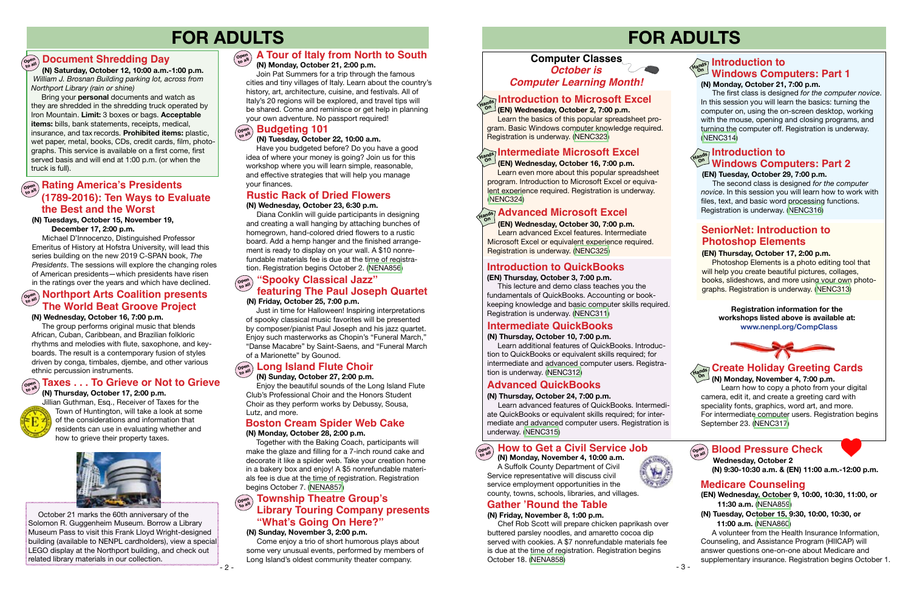# **FOR ADULTS**

#### **Open to all "Spooky Classical Jazz" ( N) Friday, October 25, 7:00 p.m. Northport Arts Coalition presents** *Company Company* **Constant** *Coalition presents MI Friday October 25, 7:00 p.m.*

# **FOR ADULTS**

 **(N) Monday, November 4, 10:00 a.m.** A Suffolk County Department of Civil Service representative will discuss civil service employment opportunities in the county, towns, schools, libraries, and villages.



# **Computer Classes** *October is Computer Learning Month!*

# Hands **Introduction to Microsoft Excel**<br>handspanning and the same of the same of the same of the same of the same of the same of the same of the same o

 **(EN) Wednesday, October 2, 7:00 p.m.**

Learn the basics of this popular spreadsheet program. Basic Windows computer knowledge required. Registration is underway. ([NENC323](https://search.livebrary.com/record=g1005372~S43))

 The first class is designed *for the computer novice*. In this session you will learn the basics: turning the computer on, using the on-screen desktop, working with the mouse, opening and closing programs, and turning the computer off. Registration is underway. [\(NENC314\)](https://search.livebrary.com/record=g1093212~S43)

### **(EN) Thursday, October 3, 7:00 p.m.**

 This lecture and demo class teaches you the fundamentals of QuickBooks. Accounting or bookkeeping knowledge and basic computer skills required. Registration is underway. ([NENC311](https://search.livebrary.com/record=g1017275~S43))

# **Introduction to QuickBooks**



Jillian Guthman, Esq., Receiver of Taxes for the Town of Huntington, will take a look at some of the considerations and information that residents can use in evaluating whether and how to grieve their property taxes.



## **Taxes . . . To Grieve or Not to Grieve**



# **Gather 'Round the Table**

#### **(N) Friday, November 8, 1:00 p.m.**

 Chef Rob Scott will prepare chicken paprikash over buttered parsley noodles, and amaretto cocoa dip served with cookies. A \$7 nonrefundable materials fee is due at the time of registration. Registration begins October 18. [\(NENA858](https://search.livebrary.com/record=g1094719~S43))

# **open Rating America's Presidents (1789-2016): Ten Ways to Evaluate the Best and the Worst**

### **(EN) Wednesday, October 16, 7:00 p.m.**

Learn even more about this popular spreadsheet program. Introduction to Microsoft Excel or equivalent experience required. Registration is underway. [\(NENC324\)](https://search.livebrary.com/record=g1012227~S43)

#### **(EN) Thursday, October 17, 2:00 p.m.**

The group performs original music that blends African, Cuban, Caribbean, and Brazilian folkloric rhythms and melodies with flute, saxophone, and keyboards. The result is a contemporary fusion of styles driven by conga, timbales, djembe, and other various ethnic percussion instruments.

 Photoshop Elements is a photo editing tool that will help you create beautiful pictures, collages, books, slideshows, and more using your own photographs. Registration is underway. [\(NENC313](https://search.livebrary.com/record=g1085803~S43))

 **(N) Saturday, October 12, 10:00 a.m.-1:00 p.m.**  *William J. Brosnan Building parking lot, across from Northport Library (rain or shine)*

#### **Long Island Flute Choir Open to all**

**Britain's Modern Monarchy** Iron Mountain. **Limit:** 3 boxes or bags. **Acceptable** Bring your **personal** documents and watch as they are shredded in the shredding truck operated by **items:** bills, bank statements, receipts, medical, insurance, and tax records. **Prohibited items:** plastic, wet paper, metal, books, CDs, credit cards, film, photographs. This service is available on a first come, first served basis and will end at 1:00 p.m. (or when the truck is full).

# **Document Shredding Day Open to all**

#### **How to Get a Civil Service Job Open to all**

#### **(N) Tuesdays, October 15, November 19, December 17, 2:00 p.m.**

Michael D'Innocenzo, Distinguished Professor Emeritus of History at Hofstra University, will lead this series building on the new 2019 C-SPAN book, *The Presidents*. The sessions will explore the changing roles of American presidents—which presidents have risen in the ratings over the years and which have declined.

#### **Hands Introduction to On (N) Monday, October 21, 7:00 p.m. Windows Computers: Part 1**

#### **Rustic Rack of Dried Flowers (N) Wednesday, October 23, 6:30 p.m.**

 Diana Conklin will guide participants in designing and creating a wall hanging by attaching bunches of homegrown, hand-colored dried flowers to a rustic board. Add a hemp hanger and the finished arrangement is ready to display on your wall. A \$10 nonrefundable materials fee is due at the time of registration. Registration begins October 2. [\(NENA856\)](https://search.livebrary.com/record=g1094712~S43)

# **Intermediate Microsoft Excel Hands On**

Just in time for Halloween! Inspiring interpretations of spooky classical music favorites will be presented by composer/pianist Paul Joseph and his jazz quartet. Enjoy such masterworks as Chopin's "Funeral March," "Danse Macabre" by Saint-Saens, and "Funeral March of a Marionette" by Gounod.

# **SeniorNet: Introduction to Photoshop Elements**

#### **(N) Wednesday, October 16, 7:00 p.m.**

#### **(N) Sunday, October 27, 2:00 p.m.**

 Enjoy the beautiful sounds of the Long Island Flute Club's Professional Choir and the Honors Student Choir as they perform works by Debussy, Sousa, Lutz, and more.

# **Boston Cream Spider Web Cake**

#### **(N) Monday, October 28, 2:00 p.m.**

 Together with the Baking Coach, participants will make the glaze and filling for a 7-inch round cake and decorate it like a spider web. Take your creation home in a bakery box and enjoy! A \$5 nonrefundable materials fee is due at the time of registration. Registration begins October 7. [\(NENA857\)](https://search.livebrary.com/record=g1094716~S43)

#### **(N) Sunday, November 3, 2:00 p.m.**

#### **Library Touring Company presents Open Township Theatre Group's "What's Going On Here?"**

Come enjoy a trio of short humorous plays about some very unusual events, performed by members of Long Island's oldest community theater company.

 **(EN) Wednesday, October 30, 7:00 p.m.** 

#### **Advanced Microsoft Excel Hands On**

 Learn advanced Excel features. Intermediate Microsoft Excel or equivalent experience required. Registration is underway. ([NENC325](https://search.livebrary.com/record=g1083595~S43))

#### **(N) Thursday, October 10, 7:00 p.m.**

 Learn additional features of QuickBooks. Introduction to QuickBooks or equivalent skills required; for intermediate and advanced computer users. Registration is underway. [\(NENC312\)](https://search.livebrary.com/record=g1084686~S43)

# **Intermediate QuickBooks**

### **(N) Thursday, October 24, 7:00 p.m.**

 Learn advanced features of QuickBooks. Intermediate QuickBooks or equivalent skills required; for intermediate and advanced computer users. Registration is underway. ([NENC315\)](https://search.livebrary.com/record=g1093205~S43)

# **Advanced QuickBooks**

### **(EN) Tuesday, October 29, 7:00 p.m.**

# **Hands On Introduction to Windows Computers: Part 2**

 The second class is designed *for the computer novice*. In this session you will learn how to work with files, text, and basic word processing functions. Registration is underway. ([NENC316\)](https://search.livebrary.com/record=g1093214~S43)

 **(N) Monday, November 4, 7:00 p.m.**  Learn how to copy a photo from your digital camera, edit it, and create a greeting card with speciality fonts, graphics, word art, and more. For intermediate computer users. Registration begins September 23. ([NENC317](https://search.livebrary.com/record=g1085807~S43))

#### Open<br>to all **Blood Pressure Check**



# **Create Holiday Greeting Cards**

**Registration information for the workshops listed above is available at: www.nenpl.org/CompClass**

**(EN) Wednesday, October 9, 10:00, 10:30, 11:00, or 11:30 a.m.** ([NENA859](https://search.livebrary.com/record=g1094726~S43))

**(N) Tuesday, October 15, 9:30, 10:00, 10:30, or 11:00 a.m.** ([NENA860\)](https://search.livebrary.com/record=g1094737~S43)

 A volunteer from the Health Insurance Information, Counseling, and Assistance Program (HIICAP) will answer questions one-on-one about Medicare and supplementary insurance. Registration begins October 1.

## **Medicare Counseling**

 **Wednesday, October 2 (N) 9:30-10:30 a.m. & (EN) 11:00 a.m.-12:00 p.m.** 

### **(N) Tuesday, October 22, 10:00 a.m.**

#### **Budgeting 101 Open to all**

 Have you budgeted before? Do you have a good idea of where your money is going? Join us for this workshop where you will learn simple, reasonable, and effective strategies that will help you manage your finances.

# **The World Beat Groove Project**

 October 21 marks the 60th anniversary of the Solomon R. Guggenheim Museum. Borrow a Library Museum Pass to visit this Frank Lloyd Wright-designed building (available to NENPL cardholders), view a special LEGO display at the Northport building, and check out related library materials in our collection.

### **( N) Monday, October 21, 2:00 p.m.**

#### **A Tour of Italy from North to South Open to all**

Join Pat Summers for a trip through the famous cities and tiny villages of Italy. Learn about the country's history, art, architecture, cuisine, and festivals. All of Italy's 20 regions will be explored, and travel tips will be shared. Come and reminisce or get help in planning your own adventure. No passport required!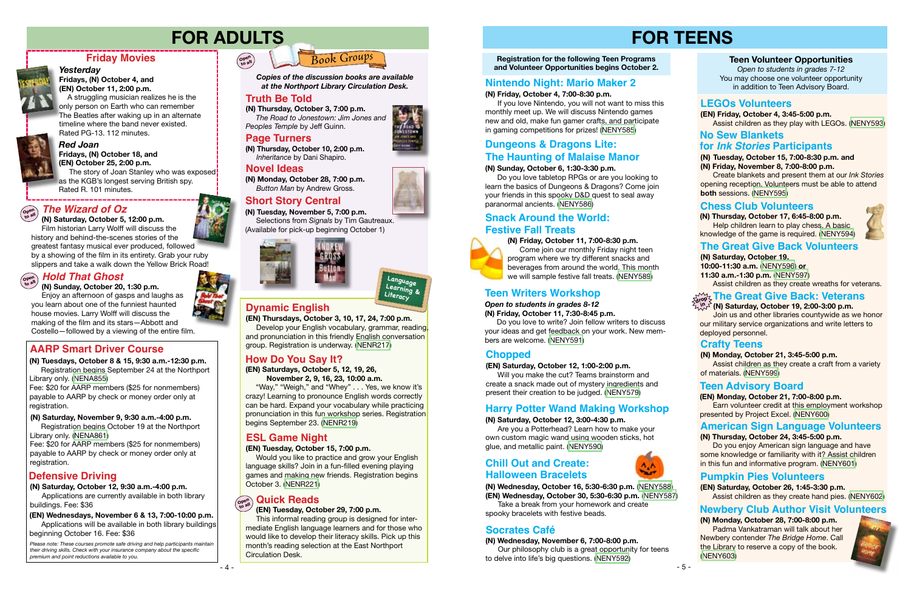# **FOR TEENS**

**Registration for the following Teen Programs and Volunteer Opportunities begins October 2.**

### **(N) Friday, October 11, 7:00-8:30 p.m.**



 Come join our monthly Friday night teen program where we try different snacks and beverages from around the world. This month we will sample festive fall treats. ([NENY589](https://search.livebrary.com/record=g1094610~S43))

# **(N) Friday, October 4, 7:00-8:30 p.m.**

 If you love Nintendo, you will not want to miss this monthly meet up. We will discuss Nintendo games new and old, make fun gamer crafts, and participate in gaming competitions for prizes! ([NENY585](https://search.livebrary.com/record=g1094604~S43))

The story of Joan Stanley who was exposed as the KGB's longest serving British spy. Rated R. 101 minutes.

# **Nintendo Night: Mario Maker 2**

#### **Teen Volunteer Opportunities**

*Open to students in grades 7-12* You may choose one volunteer opportunity in addition to Teen Advisory Board.

#### **(N) Monday, October 21, 3:45-5:00 p.m.**

 Assist children as they create a craft from a variety of materials. [\(NENY599](https://search.livebrary.com/record=g1094661~S43))

### **Crafty Teens**







*Red Joan*

#### **Fridays, (N) October 18, and (EN) October 25, 2:00 p.m.**

# **Friday Movies**



#### *Yesterday* **Fridays, (N) October 4, and (EN) October 11, 2:00 p.m.**

 A struggling musician realizes he is the only person on Earth who can remember The Beatles after waking up in an alternate timeline where the band never existed. Rated PG-13. 112 minutes.



# **FOR ADULTS**

**Truth Be Told (N) Thursday, October 3, 7:00 p.m.** *The Road to Jonestown: Jim Jones and Peoples Temple* by Jeff Guinn.

# *Book Groups*

# **Snack Around the World: Festive Fall Treats**

**(N) Monday, October 28, 7:00 p.m.** *Button Man* by Andrew Gross.

**(N) Thursday, October 10, 2:00 p.m.** *Inheritance* by Dani Shapiro.

*Copies of the discussion books are available at the Northport Library Circulation Desk.* 

# **Truth Be Told**

# **Novel Ideas**

# **Page Turners**

# **Short Story Central**

**(N) Tuesday, November 5, 7:00 p.m.** Selections from *Signals* by Tim Gautreaux. (Available for pick-up beginning October 1)



#### **(N) Saturday, October 19, 2:00-3:00 p.m.**

 Join us and other libraries countywide as we honor our military service organizations and write letters to deployed personnel.

# **The Great Give Back Volunteers**

**(N) Saturday, October 19, 10:00-11:30 a.m.** ([NENY596\)](https://search.livebrary.com/record=g1094695~S43) **or 11:30 a.m.-1:30 p.m.** ([NENY597](https://search.livebrary.com/record=g1094696~S43))

Assist children as they create wreaths for veterans.

#### **(N) Thursday, October 17, 6:45-8:00 p.m.**

 Help children learn to play chess. A basic knowledge of the game is required. ([NENY594\)](https://search.livebrary.com/record=g1094647~S43)



## **Chess Club Volunteers**

**(EN) Thursdays, October 3, 10, 17, 24, 7:00 p.m.** Develop your English vocabulary, grammar, reading, and pronunciation in this friendly English conversation group. Registration is underway. [\(NENR217\)](https://search.livebrary.com/record=g1093756~S43)

# **Dynamic English**

#### **(N) Saturday, October 12, 3:00-4:30 p.m.**

 Are you a Potterhead? Learn how to make your own custom magic wand using wooden sticks, hot glue, and metallic paint. [\(NENY590\)](https://search.livebrary.com/record=g1094624~S43)

#### $\widehat{\mathsf{O}}$ pen  $\bigcirc$  Hold That Ghost **to all**

# **Harry Potter Wand Making Workshop**

#### **(EN) Saturday, October 12, 1:00-2:00 p.m.**

 Will you make the cut? Teams brainstorm and create a snack made out of mystery ingredients and present their creation to be judged. ([NENY579](https://search.livebrary.com/record=g1094134~S43))

# **Chopped**

# **Defensive Driving**

*Please note: These courses promote safe driving and help participants maintain their driving skills. Check with your insurance company about the specific premium and point reductions available to you.*

# **AARP Smart Driver Course**

#### **(N) Saturday, October 12, 9:30 a.m.-4:00 p.m.**

Applications are currently available in both library buildings. Fee: \$36

## **(N) Saturday, November 9, 9:30 a.m.-4:00 p.m.**

Registration begins October 19 at the Northport Library only. ([NENA861](https://search.livebrary.com/record=g1094724~S43))

Fee: \$20 for AARP members (\$25 for nonmembers) payable to AARP by check or money order only at registration.

> **(N) Wednesday, October 16, 5:30-6:30 p.m.** [\(NENY588\)](https://search.livebrary.com/record=g1094609~S43) **(EN) Wednesday, October 30, 5:30-6:30 p.m.** ([NENY587](https://search.livebrary.com/record=g1094608~S43)) Take a break from your homework and create

## **(EN) Wednesdays, November 6 & 13, 7:00-10:00 p.m.**

Applications will be available in both library buildings beginning October 16. Fee: \$36

# **(N) Tuesdays, October 8 & 15, 9:30 a.m.-12:30 p.m.**

Registration begins September 24 at the Northport Library only. [\(NENA855\)](https://search.livebrary.com/record=g1093537~S43)

Fee: \$20 for AARP members (\$25 for nonmembers) payable to AARP by check or money order only at registration.

**Open to all**



# **How Do You Say It?**

**(EN) Saturdays, October 5, 12, 19, 26, November 2, 9, 16, 23, 10:00 a.m.**

"Way," "Weigh," and "Whey" . . . Yes, we know it's crazy! Learning to pronounce English words correctly can be hard. Expand your vocabulary while practicing pronunciation in this fun workshop series. Registration begins September 23. [\(NENR219](https://search.livebrary.com/record=g1094245~S43))

# **ESL Game Night**

### **(EN) Tuesday, October 15, 7:00 p.m.**

Would you like to practice and grow your English language skills? Join in a fun-filled evening playing games and making new friends. Registration begins October 3. [\(NENR221](https://search.livebrary.com/record=g1094762~S43))

#### Open<br>to all **Quick Reads**

#### **The Great Give Back: Veterans drop in**

### **(EN) Tuesday, October 29, 7:00 p.m.**

This informal reading group is designed for intermediate English language learners and for those who would like to develop their literacy skills. Pick up this month's reading selection at the East Northport Circulation Desk.



#### *The Wizard of Oz* **Open to all**

 **(N) Saturday, October 5, 12:00 p.m.** Film historian Larry Wolff will discuss the history and behind-the-scenes stories of the greatest fantasy musical ever produced, followed by a showing of the film in its entirety. Grab your ruby slippers and take a walk down the Yellow Brick Road!

 **(N) Sunday, October 20, 1:30 p.m.**

 Enjoy an afternoon of gasps and laughs as you learn about one of the funniest haunted house movies. Larry Wolff will discuss the making of the film and its stars—Abbott and Costello—followed by a viewing of the entire film.

### **(N) Sunday, October 6, 1:30-3:30 p.m.**

 Do you love tabletop RPGs or are you looking to learn the basics of Dungeons & Dragons? Come join your friends in this spooky D&D quest to seal away paranormal ancients. [\(NENY586\)](https://search.livebrary.com/record=g1094605~S43)

# **Dungeons & Dragons Lite: The Haunting of Malaise Manor**

#### *Open to students in grades 8-12* **(N) Friday, October 11, 7:30-8:45 p.m.**

 Do you love to write? Join fellow writers to discuss your ideas and get feedback on your work. New members are welcome. ([NENY591](https://search.livebrary.com/record=g1094626~S43))

# **Teen Writers Workshop**

**(N) Wednesday, November 6, 7:00-8:00 p.m.** Our philosophy club is a great opportunity for teens to delve into life's big questions. ([NENY592\)](https://search.livebrary.com/record=g1094625~S43)



# **Socrates Café**

### **LEGOs Volunteers**

**(EN) Friday, October 4, 3:45-5:00 p.m.** Assist children as they play with LEGOs. [\(NENY593](https://search.livebrary.com/record=g1094679~S43))

#### **(N) Tuesday, October 15, 7:00-8:30 p.m. and (N) Friday, November 8, 7:00-8:00 p.m.**

 Create blankets and present them at our *Ink Stories* opening reception. Volunteers must be able to attend **both** sessions. ([NENY595](https://search.livebrary.com/record=g1094917~S43))

# **No Sew Blankets**

### **for** *Ink Stories* **Participants**

#### **(EN) Monday, October 21, 7:00-8:00 p.m.**

 Earn volunteer credit at this employment workshop presented by Project Excel. [\(NENY600\)](https://search.livebrary.com/record=g1094662~S43)

# **Teen Advisory Board**

## **American Sign Language Volunteers**

#### **(N) Thursday, October 24, 3:45-5:00 p.m.**

 Do you enjoy American sign language and have some knowledge or familiarity with it? Assist children in this fun and informative program. ([NENY601\)](https://search.livebrary.com/record=g1094663~S43)

# **Pumpkin Pies Volunteers**

**(EN) Saturday, October 26, 1:45-3:30 p.m.** Assist children as they create hand pies. [\(NENY602](https://search.livebrary.com/record=g1094680~S43))

### **(N) Monday, October 28, 7:00-8:00 p.m.**

 Padma Vankatraman will talk about her Newbery contender *The Bridge Home*. Call the Library to reserve a copy of the book. ([NENY603](https://search.livebrary.com/record=g1094682~S43))



spooky bracelets with festive beads.

# **Chill Out and Create: Halloween Bracelets**



# **Newbery Club Author Visit Volunteers**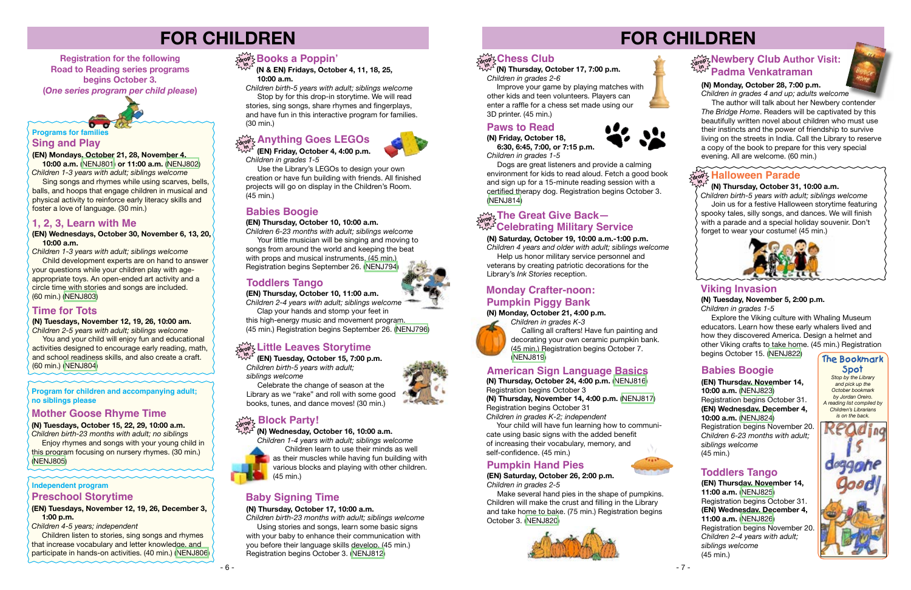# **(N) Tuesdays, November 12, 19, 26, 10:00 am.**

*Children 2-5 years with adult; siblings welcome* You and your child will enjoy fun and educational

# **Sing and Play Programs for family**

activities designed to encourage early reading, math, and school readiness skills, and also create a craft. (60 min.) ([NENJ804](https://search.livebrary.com/record=g1093954~S43))

**(EN) Mondays, October 21, 28, November 4,**

 **10:00 a.m.** [\(NENJ801\)](https://search.livebrary.com/record=g1094185~S43) **or 11:00 a.m.** ([NENJ802\)](https://search.livebrary.com/record=g1094187~S43) *Children 1-3 years with adult; siblings welcome* Sing songs and rhymes while using scarves, bells, balls, and hoops that engage children in musical and

*Children birth-23 months with adult; no siblings* **Enjoy rhymes and songs with your young child in** 

physical activity to reinforce early literacy skills and foster a love of language. (30 min.)

# **FOR CHILDREN**

 *Children birth-5 years with adult; siblings welcome*  Join us for a festive Halloween storytime featuring spooky tales, silly songs, and dances. We will finish with a parade and a special holiday souvenir. Don't forget to wear your costume! (45 min.)



**Registration for the following Road to Reading series programs begins October 3. (***One series program per child please***)** 

# **Time for Tots**

#### (EN) Wednesdays, October 30, November 6, 13, 20,  **10:00 a.m.**

**Program for children and accompanying adult; no siblings please** 

**(N) Tuesdays, October 15, 22, 29, 10:00 a.m.**

this program focusing on nursery rhymes. (30 min.) [\(NENJ805](https://search.livebrary.com/record=g1093955~S43))

# **Mother Goose Rhyme Time**

# **FOR CHILDREN**



*Children's Librarians is on the back.*



#### **(N) Thursday, October 31, 10:00 a.m.**

**Children listen to stories, sing songs and rhymes** that increase vocabulary and letter knowledge, and participate in hands-on activities. (40 min.) ([NENJ806](https://search.livebrary.com/record=g1094097~S43))

# $\frac{\partial \mathbf{p}}{\partial \mathbf{q}}$  Books a Poppin'

*Children 1-3 years with adult; siblings welcome*

Use the Library's LEGOs to design your own creation or have fun building with friends. All finished projects will go on display in the Children's Room. (45 min.)

 Child development experts are on hand to answer your questions while your children play with ageappropriate toys. An open-ended art activity and a circle time with stories and songs are included. (60 min.) ([NENJ803](https://search.livebrary.com/record=g1093933~S43))

# **1, 2, 3, Learn with Me**

 *Children 1-4 years with adult; siblings welcome* Children learn to use their minds as well as their muscles while having fun building with various blocks and playing with other children. (45 min.)

### **(N) Saturday, October 19, 10:00 a.m.-1:00 p.m.**

Using stories and songs, learn some basic signs with your baby to enhance their communication with you before their language skills develop. (45 min.) Registration begins October 3. ([NENJ812](https://search.livebrary.com/record=g1093960~S43))

# $\lim\limits_{\Delta t \rightarrow 0} \frac{1}{2}$ Chess Club

*Children 4 years and older with adult; siblings welcome* Help us honor military service personnel and veterans by creating patriotic decorations for the Library's *Ink Stories* reception.

#### **(N) Monday, October 21, 4:00 p.m.** *Children in grades K-3*



Calling all crafters! Have fun painting and decorating your own ceramic pumpkin bank. (45 min.) Registration begins October 7. [\(NENJ819\)](https://search.livebrary.com/record=g1094539~S43)

**(EN) Tuesdays, November 12, 19, 26, December 3, 1:00 p.m.**

*Children 4-5 years; independent*

Your child will have fun learning how to communicate using basic signs with the added benefit of increasing their vocabulary, memory, and self-confidence. (45 min.)

### **Independent program Preschool Storytime**

**Explore the Viking culture with Whaling Museum** educators. Learn how these early whalers lived and how they discovered America. Design a helmet and other Viking crafts to take home. (45 min.) Registration begins October 15. [\(NENJ822](https://search.livebrary.com/record=g1093965~S43))

 **(N & EN) Fridays, October 4, 11, 18, 25, 10:00 a.m.**

*Children birth-5 years with adult; siblings welcome* Stop by for this drop-in storytime. We will read

stories, sing songs, share rhymes and fingerplays, and have fun in this interactive program for families. (30 min.)

# $\frac{1}{\alpha! \alpha^0}$  Anything Goes LEGOs

 **(EN) Friday, October 4, 4:00 p.m.**  *Children in grades 1-5* **in**

The author will talk about her Newbery contender *The Bridge Home*. Readers will be captivated by this beautifully written novel about children who must use their instincts and the power of friendship to survive living on the streets in India. Call the Library to reserve a copy of the book to prepare for this very special evening. All are welcome. (60 min.)

# $\frac{F_{\text{avg}}}{F_{\text{avg}}}$  Halloween Parade

### **(EN) Thursday, October 10, 10:00 a.m.**

*Children 6-23 months with adult; siblings welcome* 

# **drop > Newbery Club Author Visit:**<br> **drop & Drop Property Club Padma Venkatraman**

 Your little musician will be singing and moving to songs from around the world and keeping the beat with props and musical instruments. (45 min.) Registration begins September 26. ([NENJ794](https://search.livebrary.com/record=g1093249~S43))

 **(N) Wednesday, October 16, 10:00 a.m. in**

# **Babies Boogie**

**(EN) Thursday, October 10, 11:00 a.m.**

*Children 2-4 years with adult; siblings welcome*

 Clap your hands and stomp your feet in this high-energy music and movement program. (45 min.) Registration begins September 26. [\(NENJ796\)](https://search.livebrary.com/record=g1093250~S43)

# **Toddlers Tango**

 **(EN) Tuesday, October 15, 7:00 p.m.** *Children birth-5 years with adult; siblings welcome*

#### **Little Leaves Storytime drop in**

 Celebrate the change of season at the Library as we "rake" and roll with some good books, tunes, and dance moves! (30 min.)

# $\frac{1}{\det(\mathbf{p})}$  Block Party!

### **(N) Thursday, October 17, 10:00 a.m.**

*Children birth-23 months with adult; siblings welcome* 

# **Baby Signing Time**

**(N) Thursday, October 17, 7:00 p.m.** *Children in grades 2-6* **in**

 Improve your game by playing matches with other kids and teen volunteers. Players can enter a raffle for a chess set made using our 3D printer. (45 min.)

# **Monday Crafter-noon: Pumpkin Piggy Bank**

# **Paws to Read**

**(N) Friday, October 18, 6:30, 6:45, 7:00, or 7:15 p.m.** *Children in grades 1-5*

 Dogs are great listeners and provide a calming environment for kids to read aloud. Fetch a good book and sign up for a 15-minute reading session with a certified therapy dog. Registration begins October 3. ([NENJ814](https://search.livebrary.com/record=g1093962~S43))

# **The Great Give Back— Celebrating Military Service Celebrating Military Service**

**in**

# **American Sign Language Basics**

**(N) Thursday, October 24, 4:00 p.m.** [\(NENJ816\)](https://search.livebrary.com/record=g1094368~S43) Registration begins October 3

**(N) Thursday, November 14, 4:00 p.m.** ([NENJ817](https://search.livebrary.com/record=g1094369~S43)) Registration begins October 31 *Children in grades K-2; independent*

# **Viking Invasion (N) Tuesday, November 5, 2:00 p.m.**

*Children in grades 1-5*

**(EN) Thursday, November 14, 10:00 a.m.** ([NENJ823](https://search.livebrary.com/record=g1094189~S43)) Registration begins October 31. **(EN) Wednesday, December 4, 10:00 a.m.** ([NENJ824](https://search.livebrary.com/record=g1094842~S43)) Registration begins November 20. *Children 6-23 months with adult; siblings welcome* (45 min.)

# **Babies Boogie**

**(EN) Thursday, November 14, 11:00 a.m.** ([NENJ825](https://search.livebrary.com/record=g1094194~S43)) Registration begins October 31. **(EN) Wednesday, December 4, 11:00 a.m.** ([NENJ826](https://search.livebrary.com/record=g1094843~S43)) Registration begins November 20. *Children 2-4 years with adult; siblings welcome* (45 min.)

## **Toddlers Tango**



*Children in grades 4 and up; adults welcome*

# **Pumpkin Hand Pies**

#### **(EN) Saturday, October 26, 2:00 p.m.** *Children in grades 2-5*

 Make several hand pies in the shape of pumpkins. Children will make the crust and filling in the Library and take home to bake. (75 min.) Registration begins October 3. [\(NENJ820](https://search.livebrary.com/record=g1094096~S43))





 $-6 -$